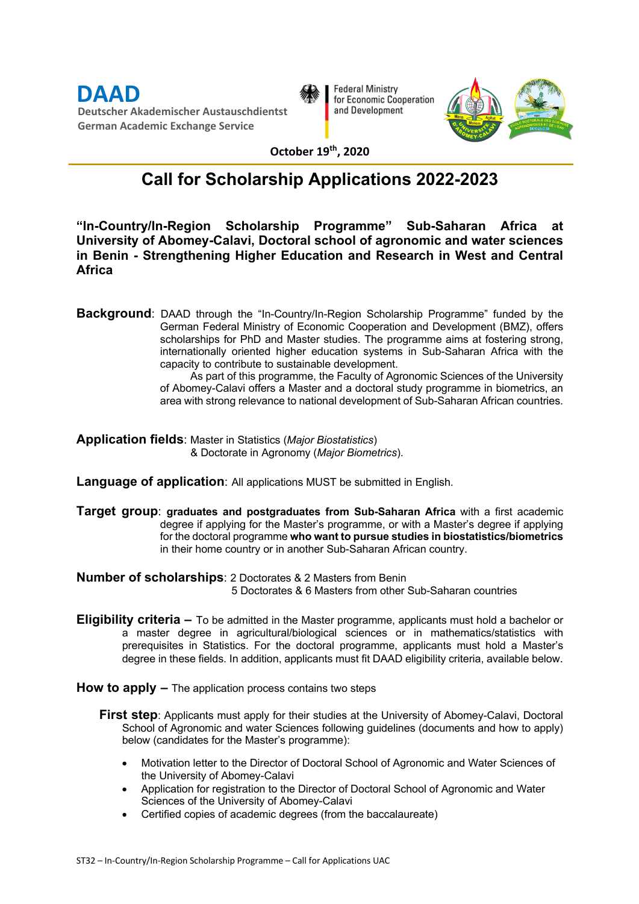**DAAD Deutscher Akademischer Austauschdientst German Academic Exchange Service**



**Federal Ministry** for Economic Cooperation and Development



**October 19th, 2020**

### **Call for Scholarship Applications 2022-2023**

**"In-Country/In-Region Scholarship Programme" Sub-Saharan Africa at University of Abomey-Calavi, Doctoral school of agronomic and water sciences in Benin - Strengthening Higher Education and Research in West and Central Africa**

**Background**: DAAD through the "In-Country/In-Region Scholarship Programme" funded by the German Federal Ministry of Economic Cooperation and Development (BMZ), offers scholarships for PhD and Master studies. The programme aims at fostering strong, internationally oriented higher education systems in Sub-Saharan Africa with the capacity to contribute to sustainable development.

As part of this programme, the Faculty of Agronomic Sciences of the University of Abomey-Calavi offers a Master and a doctoral study programme in biometrics, an area with strong relevance to national development of Sub-Saharan African countries.

**Application fields**: Master in Statistics (*Major Biostatistics*) & Doctorate in Agronomy (*Major Biometrics*).

**Language of application**: All applications MUST be submitted in English.

**Target group**: **graduates and postgraduates from Sub-Saharan Africa** with a first academic degree if applying for the Master's programme, or with a Master's degree if applying for the doctoral programme **who want to pursue studies in biostatistics/biometrics** in their home country or in another Sub-Saharan African country.

**Number of scholarships**: 2 Doctorates & 2 Masters from Benin 5 Doctorates & 6 Masters from other Sub-Saharan countries

**Eligibility criteria –** To be admitted in the Master programme, applicants must hold a bachelor or a master degree in agricultural/biological sciences or in mathematics/statistics with prerequisites in Statistics. For the doctoral programme, applicants must hold a Master's degree in these fields. In addition, applicants must fit DAAD eligibility criteria, available below.

**How to apply –** The application process contains two steps

- **First step**: Applicants must apply for their studies at the University of Abomey-Calavi, Doctoral School of Agronomic and water Sciences following guidelines (documents and how to apply) below (candidates for the Master's programme):
	- Motivation letter to the Director of Doctoral School of Agronomic and Water Sciences of the University of Abomey-Calavi
	- Application for registration to the Director of Doctoral School of Agronomic and Water Sciences of the University of Abomey-Calavi
	- Certified copies of academic degrees (from the baccalaureate)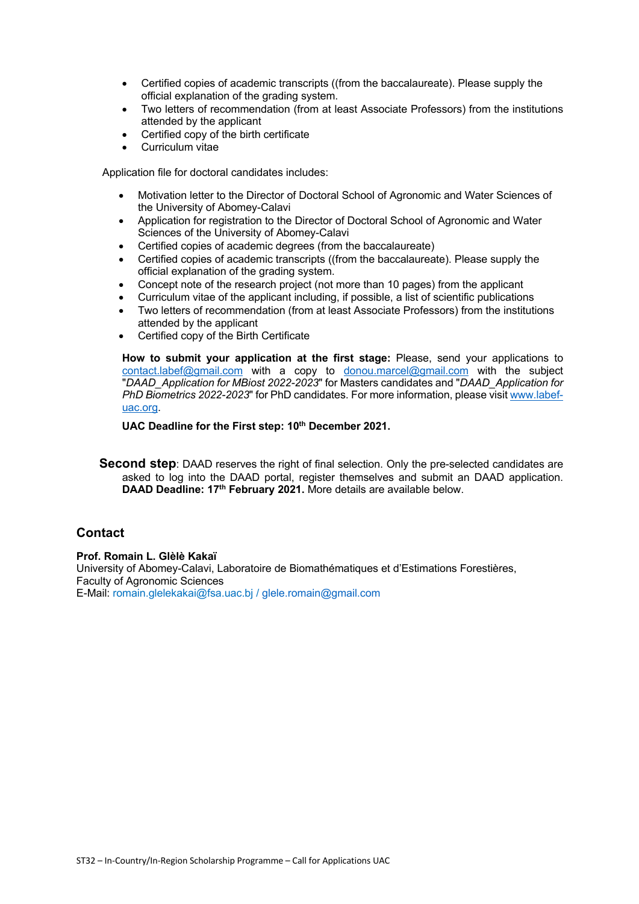- Certified copies of academic transcripts ((from the baccalaureate). Please supply the official explanation of the grading system.
- Two letters of recommendation (from at least Associate Professors) from the institutions attended by the applicant
- Certified copy of the birth certificate
- Curriculum vitae

Application file for doctoral candidates includes:

- Motivation letter to the Director of Doctoral School of Agronomic and Water Sciences of the University of Abomey-Calavi
- Application for registration to the Director of Doctoral School of Agronomic and Water Sciences of the University of Abomey-Calavi
- Certified copies of academic degrees (from the baccalaureate)
- Certified copies of academic transcripts ((from the baccalaureate). Please supply the official explanation of the grading system.
- Concept note of the research project (not more than 10 pages) from the applicant
- Curriculum vitae of the applicant including, if possible, a list of scientific publications
- Two letters of recommendation (from at least Associate Professors) from the institutions attended by the applicant
- Certified copy of the Birth Certificate

**How to submit your application at the first stage:** Please, send your applications to contact.labef@gmail.com with a copy to donou.marcel@gmail.com with the subject "*DAAD\_Application for MBiost 2022-2023*" for Masters candidates and "*DAAD\_Application for PhD Biometrics 2022-2023*" for PhD candidates. For more information, please visit www.labefuac.org.

**UAC Deadline for the First step: 10th December 2021.**

**Second step**: DAAD reserves the right of final selection. Only the pre-selected candidates are asked to log into the DAAD portal, register themselves and submit an DAAD application. **DAAD Deadline: 17th February 2021.** More details are available below.

#### **Contact**

**Prof. Romain L. Glèlè Kakaï**

University of Abomey-Calavi, Laboratoire de Biomathématiques et d'Estimations Forestières, Faculty of Agronomic Sciences E-Mail: romain.glelekakai@fsa.uac.bj / glele.romain@gmail.com

ST32 – In-Country/In-Region Scholarship Programme – Call for Applications UAC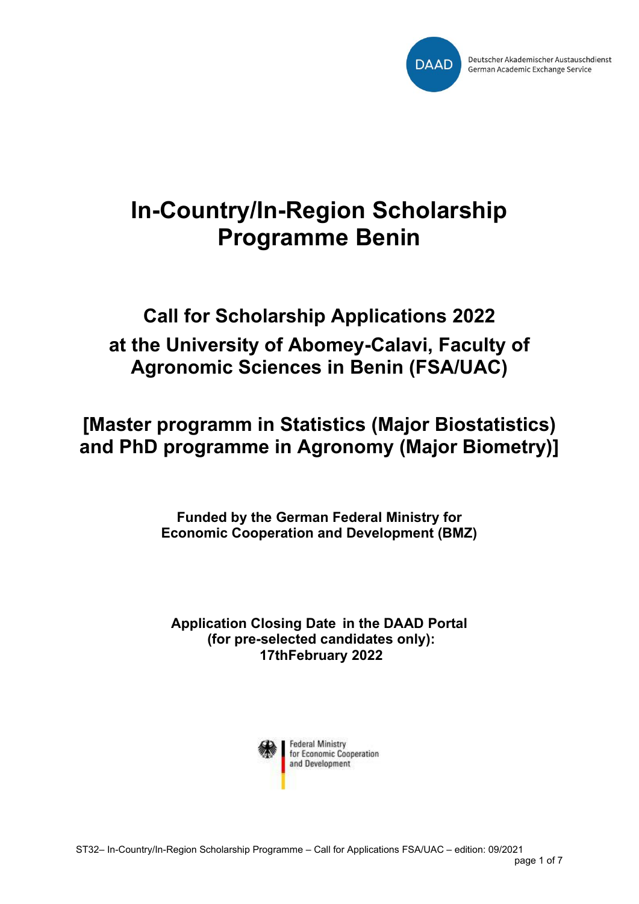

# **In-Country/In-Region Scholarship Programme Benin**

## **Call for Scholarship Applications 2022 at the University of Abomey-Calavi, Faculty of Agronomic Sciences in Benin (FSA/UAC)**

**[Master programm in Statistics (Major Biostatistics) and PhD programme in Agronomy (Major Biometry)]**

> **Funded by the German Federal Ministry for Economic Cooperation and Development (BMZ)**

**Application Closing Date in the DAAD Portal (for pre-selected candidates only): 17thFebruary 2022**

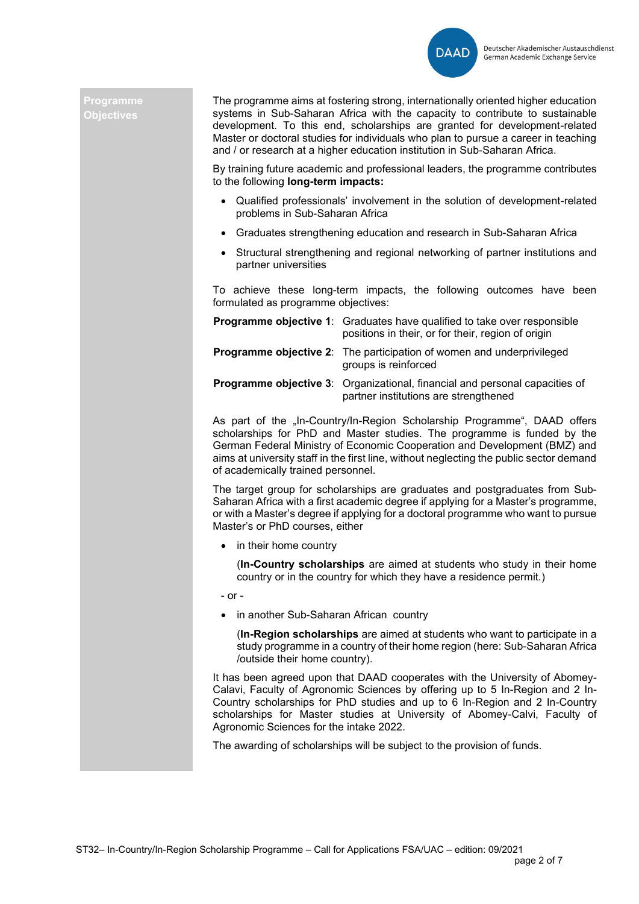

#### **Programme Objectives**

The programme aims at fostering strong, internationally oriented higher education systems in Sub-Saharan Africa with the capacity to contribute to sustainable development. To this end, scholarships are granted for development-related Master or doctoral studies for individuals who plan to pursue a career in teaching and / or research at a higher education institution in Sub-Saharan Africa.

By training future academic and professional leaders, the programme contributes to the following **long-term impacts:**

- Qualified professionals' involvement in the solution of development-related problems in Sub-Saharan Africa
- Graduates strengthening education and research in Sub-Saharan Africa
- Structural strengthening and regional networking of partner institutions and partner universities

To achieve these long-term impacts, the following outcomes have been formulated as programme objectives:

| <b>Programme objective 1:</b> Graduates have qualified to take over responsible<br>positions in their, or for their, region of origin |
|---------------------------------------------------------------------------------------------------------------------------------------|
| <b>Programme objective 2:</b> The participation of women and underprivileged<br>groups is reinforced                                  |
| <b>Programme objective 3:</b> Organizational, financial and personal capacities of<br>partner institutions are strengthened           |

As part of the "In-Country/In-Region Scholarship Programme", DAAD offers scholarships for PhD and Master studies. The programme is funded by the German Federal Ministry of Economic Cooperation and Development (BMZ) and aims at university staff in the first line, without neglecting the public sector demand of academically trained personnel.

The target group for scholarships are graduates and postgraduates from Sub-Saharan Africa with a first academic degree if applying for a Master's programme, or with a Master's degree if applying for a doctoral programme who want to pursue Master's or PhD courses, either

• in their home country

(**In-Country scholarships** are aimed at students who study in their home country or in the country for which they have a residence permit.)

- or -

• in another Sub-Saharan African country

(**In-Region scholarships** are aimed at students who want to participate in a study programme in a country of their home region (here: Sub-Saharan Africa /outside their home country).

It has been agreed upon that DAAD cooperates with the University of Abomey-Calavi, Faculty of Agronomic Sciences by offering up to 5 In-Region and 2 In-Country scholarships for PhD studies and up to 6 In-Region and 2 In-Country scholarships for Master studies at University of Abomey-Calvi, Faculty of Agronomic Sciences for the intake 2022.

The awarding of scholarships will be subject to the provision of funds.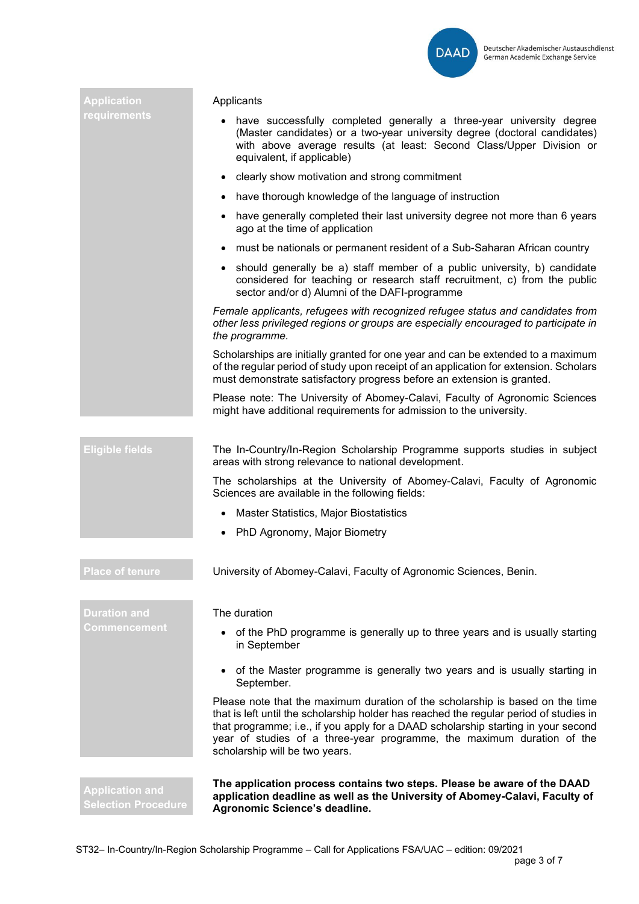

| Application                                          | Applicants                                                                                                                                                                                                                                                                                                                                                               |  |  |  |  |
|------------------------------------------------------|--------------------------------------------------------------------------------------------------------------------------------------------------------------------------------------------------------------------------------------------------------------------------------------------------------------------------------------------------------------------------|--|--|--|--|
| requirements                                         | have successfully completed generally a three-year university degree<br>(Master candidates) or a two-year university degree (doctoral candidates)<br>with above average results (at least: Second Class/Upper Division or<br>equivalent, if applicable)                                                                                                                  |  |  |  |  |
|                                                      | clearly show motivation and strong commitment<br>$\bullet$                                                                                                                                                                                                                                                                                                               |  |  |  |  |
|                                                      | have thorough knowledge of the language of instruction<br>$\bullet$                                                                                                                                                                                                                                                                                                      |  |  |  |  |
|                                                      | have generally completed their last university degree not more than 6 years<br>$\bullet$<br>ago at the time of application                                                                                                                                                                                                                                               |  |  |  |  |
|                                                      | must be nationals or permanent resident of a Sub-Saharan African country                                                                                                                                                                                                                                                                                                 |  |  |  |  |
|                                                      | • should generally be a) staff member of a public university, b) candidate<br>considered for teaching or research staff recruitment, c) from the public<br>sector and/or d) Alumni of the DAFI-programme                                                                                                                                                                 |  |  |  |  |
|                                                      | Female applicants, refugees with recognized refugee status and candidates from<br>other less privileged regions or groups are especially encouraged to participate in<br>the programme.                                                                                                                                                                                  |  |  |  |  |
|                                                      | Scholarships are initially granted for one year and can be extended to a maximum<br>of the regular period of study upon receipt of an application for extension. Scholars<br>must demonstrate satisfactory progress before an extension is granted.                                                                                                                      |  |  |  |  |
|                                                      | Please note: The University of Abomey-Calavi, Faculty of Agronomic Sciences<br>might have additional requirements for admission to the university.                                                                                                                                                                                                                       |  |  |  |  |
|                                                      |                                                                                                                                                                                                                                                                                                                                                                          |  |  |  |  |
| <b>Eligible fields</b>                               | The In-Country/In-Region Scholarship Programme supports studies in subject<br>areas with strong relevance to national development.                                                                                                                                                                                                                                       |  |  |  |  |
|                                                      | The scholarships at the University of Abomey-Calavi, Faculty of Agronomic<br>Sciences are available in the following fields:                                                                                                                                                                                                                                             |  |  |  |  |
|                                                      | Master Statistics, Major Biostatistics<br>$\bullet$                                                                                                                                                                                                                                                                                                                      |  |  |  |  |
|                                                      | • PhD Agronomy, Major Biometry                                                                                                                                                                                                                                                                                                                                           |  |  |  |  |
| <b>Place of tenure</b>                               | University of Abomey-Calavi, Faculty of Agronomic Sciences, Benin.                                                                                                                                                                                                                                                                                                       |  |  |  |  |
|                                                      |                                                                                                                                                                                                                                                                                                                                                                          |  |  |  |  |
| <b>Duration and</b>                                  | The duration                                                                                                                                                                                                                                                                                                                                                             |  |  |  |  |
| Commencement                                         | of the PhD programme is generally up to three years and is usually starting<br>in September                                                                                                                                                                                                                                                                              |  |  |  |  |
|                                                      | of the Master programme is generally two years and is usually starting in<br>$\bullet$<br>September.                                                                                                                                                                                                                                                                     |  |  |  |  |
|                                                      | Please note that the maximum duration of the scholarship is based on the time<br>that is left until the scholarship holder has reached the regular period of studies in<br>that programme; i.e., if you apply for a DAAD scholarship starting in your second<br>year of studies of a three-year programme, the maximum duration of the<br>scholarship will be two years. |  |  |  |  |
| <b>Application and</b><br><b>Selection Procedure</b> | The application process contains two steps. Please be aware of the DAAD<br>application deadline as well as the University of Abomey-Calavi, Faculty of<br>Agronomic Science's deadline.                                                                                                                                                                                  |  |  |  |  |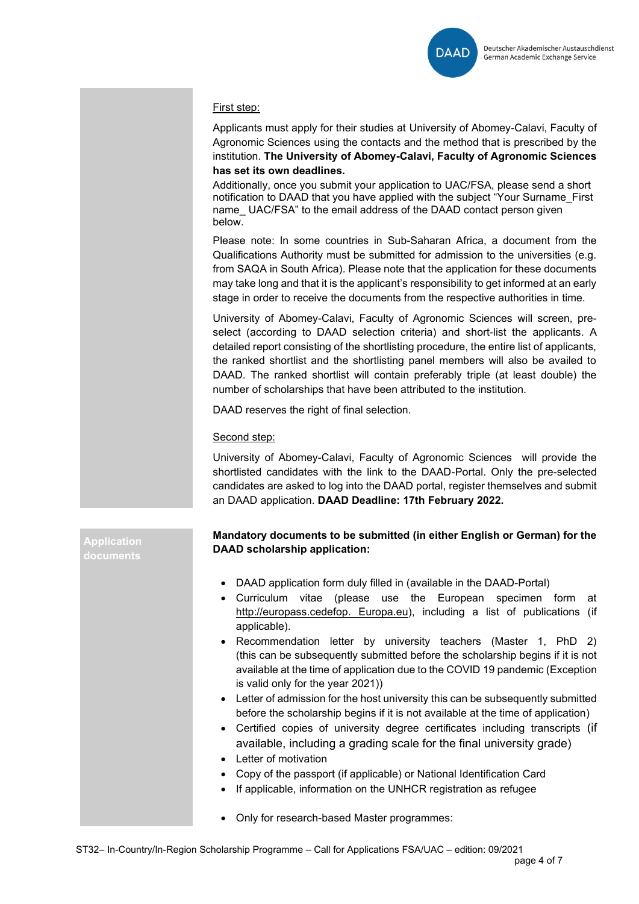

#### First step:

Applicants must apply for their studies at University of Abomey-Calavi, Faculty of Agronomic Sciences using the contacts and the method that is prescribed by the institution. **The University of Abomey-Calavi, Faculty of Agronomic Sciences has set its own deadlines.**

Additionally, once you submit your application to UAC/FSA, please send a short notification to DAAD that you have applied with the subject "Your Surname\_First name\_ UAC/FSA" to the email address of the DAAD contact person given below.

Please note: In some countries in Sub-Saharan Africa, a document from the Qualifications Authority must be submitted for admission to the universities (e.g. from SAQA in South Africa). Please note that the application for these documents may take long and that it is the applicant's responsibility to get informed at an early stage in order to receive the documents from the respective authorities in time.

University of Abomey-Calavi, Faculty of Agronomic Sciences will screen, preselect (according to DAAD selection criteria) and short-list the applicants. A detailed report consisting of the shortlisting procedure, the entire list of applicants, the ranked shortlist and the shortlisting panel members will also be availed to DAAD. The ranked shortlist will contain preferably triple (at least double) the number of scholarships that have been attributed to the institution.

DAAD reserves the right of final selection.

#### Second step:

University of Abomey-Calavi, Faculty of Agronomic Sciences will provide the shortlisted candidates with the link to the DAAD-Portal. Only the pre-selected candidates are asked to log into the DAAD portal, register themselves and submit an DAAD application. **DAAD Deadline: 17th February 2022.**

#### **Mandatory documents to be submitted (in either English or German) for the DAAD scholarship application:**

- DAAD application form duly filled in (available in the DAAD-Portal)
- Curriculum vitae (please use the European specimen form at http://europass.cedefop. Europa.eu), including a list of publications (if applicable).
- Recommendation letter by university teachers (Master 1, PhD 2) (this can be subsequently submitted before the scholarship begins if it is not available at the time of application due to the COVID 19 pandemic (Exception is valid only for the year 2021))
- Letter of admission for the host university this can be subsequently submitted before the scholarship begins if it is not available at the time of application)
- Certified copies of university degree certificates including transcripts (if available, including a grading scale for the final university grade)
- Letter of motivation
- Copy of the passport (if applicable) or National Identification Card
- If applicable, information on the UNHCR registration as refugee
- Only for research-based Master programmes:

**Application**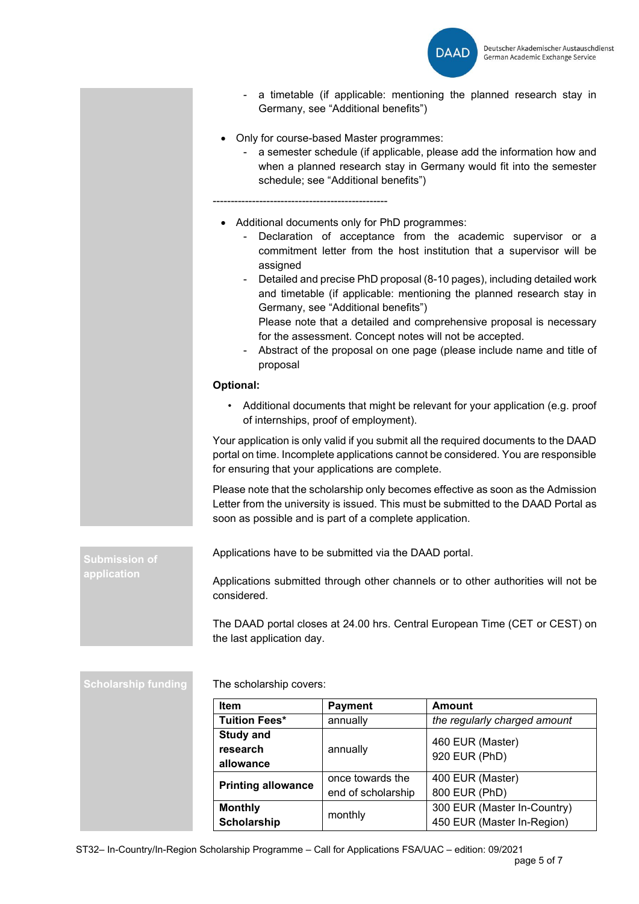

| • Only for course-based Master programmes:<br>a semester schedule (if applicable, please add the information how and<br>when a planned research stay in Germany would fit into the semester<br>schedule; see "Additional benefits")<br>• Additional documents only for PhD programmes:<br>Declaration of acceptance from the academic supervisor or a<br>commitment letter from the host institution that a supervisor will be<br>assigned<br>Detailed and precise PhD proposal (8-10 pages), including detailed work<br>and timetable (if applicable: mentioning the planned research stay in<br>Germany, see "Additional benefits")<br>Please note that a detailed and comprehensive proposal is necessary<br>for the assessment. Concept notes will not be accepted.<br>Abstract of the proposal on one page (please include name and title of<br>proposal<br>Optional:<br>Additional documents that might be relevant for your application (e.g. proof<br>of internships, proof of employment).<br>Your application is only valid if you submit all the required documents to the DAAD<br>portal on time. Incomplete applications cannot be considered. You are responsible<br>for ensuring that your applications are complete.<br>Please note that the scholarship only becomes effective as soon as the Admission<br>Letter from the university is issued. This must be submitted to the DAAD Portal as<br>soon as possible and is part of a complete application.<br>Applications have to be submitted via the DAAD portal.<br><b>Submission of</b><br>application<br>Applications submitted through other channels or to other authorities will not be<br>considered.<br>The DAAD portal closes at 24.00 hrs. Central European Time (CET or CEST) on<br>the last application day.<br><b>Scholarship funding</b><br>The scholarship covers:<br>Item<br><b>Payment</b><br><b>Amount</b><br><b>Tuition Fees*</b><br>the regularly charged amount<br>annually<br><b>Study and</b><br>460 EUR (Master)<br>research<br>annually<br>920 EUR (PhD)<br>allowance |  | Germany, see "Additional benefits") | a timetable (if applicable: mentioning the planned research stay in |  |  |  |
|------------------------------------------------------------------------------------------------------------------------------------------------------------------------------------------------------------------------------------------------------------------------------------------------------------------------------------------------------------------------------------------------------------------------------------------------------------------------------------------------------------------------------------------------------------------------------------------------------------------------------------------------------------------------------------------------------------------------------------------------------------------------------------------------------------------------------------------------------------------------------------------------------------------------------------------------------------------------------------------------------------------------------------------------------------------------------------------------------------------------------------------------------------------------------------------------------------------------------------------------------------------------------------------------------------------------------------------------------------------------------------------------------------------------------------------------------------------------------------------------------------------------------------------------------------------------------------------------------------------------------------------------------------------------------------------------------------------------------------------------------------------------------------------------------------------------------------------------------------------------------------------------------------------------------------------------------------------------------------------------------------------------------------------------------------------|--|-------------------------------------|---------------------------------------------------------------------|--|--|--|
|                                                                                                                                                                                                                                                                                                                                                                                                                                                                                                                                                                                                                                                                                                                                                                                                                                                                                                                                                                                                                                                                                                                                                                                                                                                                                                                                                                                                                                                                                                                                                                                                                                                                                                                                                                                                                                                                                                                                                                                                                                                                  |  |                                     |                                                                     |  |  |  |
|                                                                                                                                                                                                                                                                                                                                                                                                                                                                                                                                                                                                                                                                                                                                                                                                                                                                                                                                                                                                                                                                                                                                                                                                                                                                                                                                                                                                                                                                                                                                                                                                                                                                                                                                                                                                                                                                                                                                                                                                                                                                  |  |                                     |                                                                     |  |  |  |
|                                                                                                                                                                                                                                                                                                                                                                                                                                                                                                                                                                                                                                                                                                                                                                                                                                                                                                                                                                                                                                                                                                                                                                                                                                                                                                                                                                                                                                                                                                                                                                                                                                                                                                                                                                                                                                                                                                                                                                                                                                                                  |  |                                     |                                                                     |  |  |  |
|                                                                                                                                                                                                                                                                                                                                                                                                                                                                                                                                                                                                                                                                                                                                                                                                                                                                                                                                                                                                                                                                                                                                                                                                                                                                                                                                                                                                                                                                                                                                                                                                                                                                                                                                                                                                                                                                                                                                                                                                                                                                  |  |                                     |                                                                     |  |  |  |
|                                                                                                                                                                                                                                                                                                                                                                                                                                                                                                                                                                                                                                                                                                                                                                                                                                                                                                                                                                                                                                                                                                                                                                                                                                                                                                                                                                                                                                                                                                                                                                                                                                                                                                                                                                                                                                                                                                                                                                                                                                                                  |  |                                     |                                                                     |  |  |  |
|                                                                                                                                                                                                                                                                                                                                                                                                                                                                                                                                                                                                                                                                                                                                                                                                                                                                                                                                                                                                                                                                                                                                                                                                                                                                                                                                                                                                                                                                                                                                                                                                                                                                                                                                                                                                                                                                                                                                                                                                                                                                  |  |                                     |                                                                     |  |  |  |
|                                                                                                                                                                                                                                                                                                                                                                                                                                                                                                                                                                                                                                                                                                                                                                                                                                                                                                                                                                                                                                                                                                                                                                                                                                                                                                                                                                                                                                                                                                                                                                                                                                                                                                                                                                                                                                                                                                                                                                                                                                                                  |  |                                     |                                                                     |  |  |  |
|                                                                                                                                                                                                                                                                                                                                                                                                                                                                                                                                                                                                                                                                                                                                                                                                                                                                                                                                                                                                                                                                                                                                                                                                                                                                                                                                                                                                                                                                                                                                                                                                                                                                                                                                                                                                                                                                                                                                                                                                                                                                  |  |                                     |                                                                     |  |  |  |
|                                                                                                                                                                                                                                                                                                                                                                                                                                                                                                                                                                                                                                                                                                                                                                                                                                                                                                                                                                                                                                                                                                                                                                                                                                                                                                                                                                                                                                                                                                                                                                                                                                                                                                                                                                                                                                                                                                                                                                                                                                                                  |  |                                     |                                                                     |  |  |  |
|                                                                                                                                                                                                                                                                                                                                                                                                                                                                                                                                                                                                                                                                                                                                                                                                                                                                                                                                                                                                                                                                                                                                                                                                                                                                                                                                                                                                                                                                                                                                                                                                                                                                                                                                                                                                                                                                                                                                                                                                                                                                  |  |                                     |                                                                     |  |  |  |
|                                                                                                                                                                                                                                                                                                                                                                                                                                                                                                                                                                                                                                                                                                                                                                                                                                                                                                                                                                                                                                                                                                                                                                                                                                                                                                                                                                                                                                                                                                                                                                                                                                                                                                                                                                                                                                                                                                                                                                                                                                                                  |  |                                     |                                                                     |  |  |  |
|                                                                                                                                                                                                                                                                                                                                                                                                                                                                                                                                                                                                                                                                                                                                                                                                                                                                                                                                                                                                                                                                                                                                                                                                                                                                                                                                                                                                                                                                                                                                                                                                                                                                                                                                                                                                                                                                                                                                                                                                                                                                  |  |                                     |                                                                     |  |  |  |
|                                                                                                                                                                                                                                                                                                                                                                                                                                                                                                                                                                                                                                                                                                                                                                                                                                                                                                                                                                                                                                                                                                                                                                                                                                                                                                                                                                                                                                                                                                                                                                                                                                                                                                                                                                                                                                                                                                                                                                                                                                                                  |  |                                     |                                                                     |  |  |  |
|                                                                                                                                                                                                                                                                                                                                                                                                                                                                                                                                                                                                                                                                                                                                                                                                                                                                                                                                                                                                                                                                                                                                                                                                                                                                                                                                                                                                                                                                                                                                                                                                                                                                                                                                                                                                                                                                                                                                                                                                                                                                  |  |                                     |                                                                     |  |  |  |
|                                                                                                                                                                                                                                                                                                                                                                                                                                                                                                                                                                                                                                                                                                                                                                                                                                                                                                                                                                                                                                                                                                                                                                                                                                                                                                                                                                                                                                                                                                                                                                                                                                                                                                                                                                                                                                                                                                                                                                                                                                                                  |  |                                     |                                                                     |  |  |  |

**Printing allowance** once towards the

**Monthly** 

end of scholarship

**Monthly**<br> **Scholarship** monthly **150 EUR** (Master In-Region)

400 EUR (Master) 800 EUR (PhD)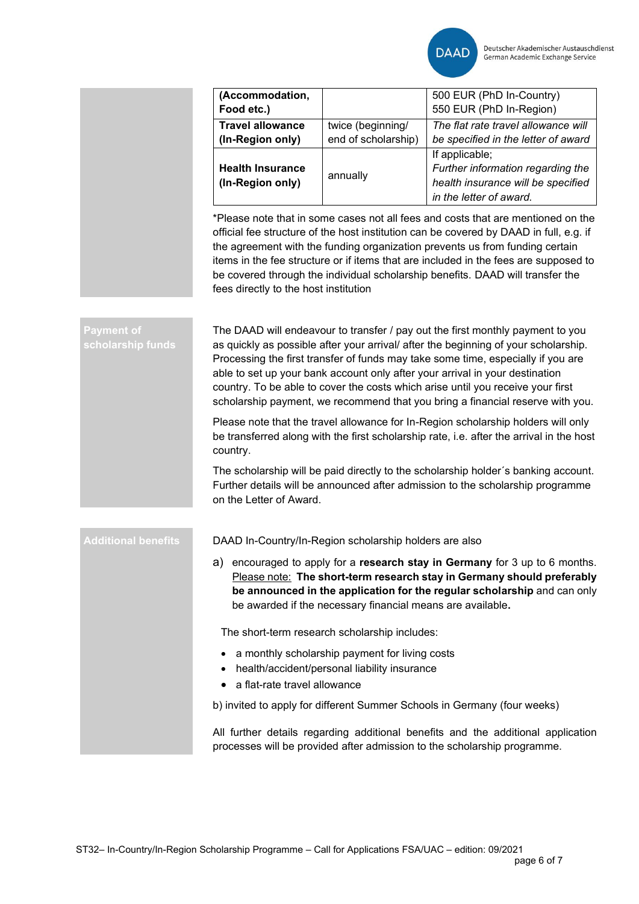|                                        | (Accommodation,<br>Food etc.)                                                                                                                                                                                                                                                                                                                                                                                                                                                                                                                                                                                                                                                                               |                                                                          | 500 EUR (PhD In-Country)<br>550 EUR (PhD In-Region)                                                                  |  |  |  |
|----------------------------------------|-------------------------------------------------------------------------------------------------------------------------------------------------------------------------------------------------------------------------------------------------------------------------------------------------------------------------------------------------------------------------------------------------------------------------------------------------------------------------------------------------------------------------------------------------------------------------------------------------------------------------------------------------------------------------------------------------------------|--------------------------------------------------------------------------|----------------------------------------------------------------------------------------------------------------------|--|--|--|
|                                        | <b>Travel allowance</b><br>(In-Region only)                                                                                                                                                                                                                                                                                                                                                                                                                                                                                                                                                                                                                                                                 | twice (beginning/<br>end of scholarship)                                 | The flat rate travel allowance will<br>be specified in the letter of award                                           |  |  |  |
|                                        | <b>Health Insurance</b><br>(In-Region only)                                                                                                                                                                                                                                                                                                                                                                                                                                                                                                                                                                                                                                                                 | annually                                                                 | If applicable;<br>Further information regarding the<br>health insurance will be specified<br>in the letter of award. |  |  |  |
|                                        | *Please note that in some cases not all fees and costs that are mentioned on the<br>official fee structure of the host institution can be covered by DAAD in full, e.g. if<br>the agreement with the funding organization prevents us from funding certain<br>items in the fee structure or if items that are included in the fees are supposed to<br>be covered through the individual scholarship benefits. DAAD will transfer the<br>fees directly to the host institution                                                                                                                                                                                                                               |                                                                          |                                                                                                                      |  |  |  |
| <b>Payment of</b><br>scholarship funds | The DAAD will endeavour to transfer / pay out the first monthly payment to you<br>as quickly as possible after your arrival/ after the beginning of your scholarship.<br>Processing the first transfer of funds may take some time, especially if you are<br>able to set up your bank account only after your arrival in your destination<br>country. To be able to cover the costs which arise until you receive your first<br>scholarship payment, we recommend that you bring a financial reserve with you.<br>Please note that the travel allowance for In-Region scholarship holders will only<br>be transferred along with the first scholarship rate, i.e. after the arrival in the host<br>country. |                                                                          |                                                                                                                      |  |  |  |
|                                        |                                                                                                                                                                                                                                                                                                                                                                                                                                                                                                                                                                                                                                                                                                             |                                                                          |                                                                                                                      |  |  |  |
|                                        | The scholarship will be paid directly to the scholarship holder's banking account.<br>Further details will be announced after admission to the scholarship programme<br>on the Letter of Award.                                                                                                                                                                                                                                                                                                                                                                                                                                                                                                             |                                                                          |                                                                                                                      |  |  |  |
| <b>Additional benefits</b>             | DAAD In-Country/In-Region scholarship holders are also                                                                                                                                                                                                                                                                                                                                                                                                                                                                                                                                                                                                                                                      |                                                                          |                                                                                                                      |  |  |  |
|                                        | a) encouraged to apply for a research stay in Germany for 3 up to 6 months.<br>Please note: The short-term research stay in Germany should preferably<br>be announced in the application for the regular scholarship and can only<br>be awarded if the necessary financial means are available.                                                                                                                                                                                                                                                                                                                                                                                                             |                                                                          |                                                                                                                      |  |  |  |
|                                        | The short-term research scholarship includes:                                                                                                                                                                                                                                                                                                                                                                                                                                                                                                                                                                                                                                                               |                                                                          |                                                                                                                      |  |  |  |
|                                        | a monthly scholarship payment for living costs<br>health/accident/personal liability insurance                                                                                                                                                                                                                                                                                                                                                                                                                                                                                                                                                                                                              |                                                                          |                                                                                                                      |  |  |  |
|                                        | a flat-rate travel allowance<br>٠                                                                                                                                                                                                                                                                                                                                                                                                                                                                                                                                                                                                                                                                           |                                                                          |                                                                                                                      |  |  |  |
|                                        |                                                                                                                                                                                                                                                                                                                                                                                                                                                                                                                                                                                                                                                                                                             | b) invited to apply for different Summer Schools in Germany (four weeks) |                                                                                                                      |  |  |  |
|                                        | All further details regarding additional benefits and the additional application<br>processes will be provided after admission to the scholarship programme.                                                                                                                                                                                                                                                                                                                                                                                                                                                                                                                                                |                                                                          |                                                                                                                      |  |  |  |